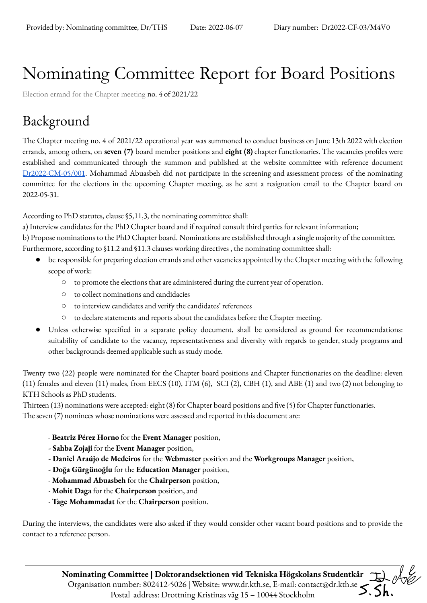## Nominating Committee Report for Board Positions

Election errand for the Chapter meeting no. 4 of 2021/22

## Background

The Chapter meeting no. 4 of 2021/22 operational year was summoned to conduct business on June 13th 2022 with election errands, among others, on **seven (7)** board member positions and **eight (8)** chapter functionaries. The vacancies profiles were established and communicated through the summon and published at the website committee with reference document [Dr2022-CM-05/001](https://www.dr.kth.se/wp-content/uploads/sites/6/2022/05/work-descriptions-Summer-2022.pdf). Mohammad Abuasbeh did not participate in the screening and assessment process of the nominating committee for the elections in the upcoming Chapter meeting, as he sent a resignation email to the Chapter board on 2022-05-31.

According to PhD statutes, clause §5,11,3, the nominating committee shall:

a) Interview candidates for the PhD Chapter board and if required consult third parties for relevant information;

b) Propose nominations to the PhD Chapter board. Nominations are established through a single majority of the committee. Furthermore, according to §11.2 and §11.3 clauses working directives , the nominating committee shall:

- be responsible for preparing election errands and other vacancies appointed by the Chapter meeting with the following scope of work:
	- to promote the elections that are administered during the current year of operation.
	- to collect nominations and candidacies
	- to interview candidates and verify the candidates' references
	- to declare statements and reports about the candidates before the Chapter meeting.
- Unless otherwise specified in a separate policy document, shall be considered as ground for recommendations: suitability of candidate to the vacancy, representativeness and diversity with regards to gender, study programs and other backgrounds deemed applicable such as study mode.

Twenty two (22) people were nominated for the Chapter board positions and Chapter functionaries on the deadline: eleven (11) females and eleven (11) males, from EECS (10), ITM (6), SCI (2), CBH (1), and ABE (1) and two (2) not belonging to KTH Schools as PhD students.

Thirteen (13) nominations were accepted: eight (8) for Chapter board positions and five (5) for Chapter functionaries. The seven (7) nominees whose nominations were assessed and reported in this document are:

- **Beatriz Pérez Horno** for the **Event Manager** position,
- **Sahba Zojaji** for the **Event Manager** position,
- **Daniel Araújo de Medeiros** for the **Webmaster** position and the **Workgroups Manager** position,
- **Doğa Gürgünoğlu** for the **Education Manager** position,
- **Mohammad Abuasbeh** for the **Chairperson** position,
- **Mohit Daga** for the **Chairperson** position, and
- **Tage Mohammadat** for the **Chairperson** position.

During the interviews, the candidates were also asked if they would consider other vacant board positions and to provide the contact to a reference person.

> **Nominating Committee | Doktorandsektionen vid Tekniska Högskolans Studentkår** Organisation number: 802412-5026 | Website: www.dr.kth.se, E-mail: contact@dr.kth.se  $5.5h$ Postal address: Drottning Kristinas väg 15 – 10044 Stockholm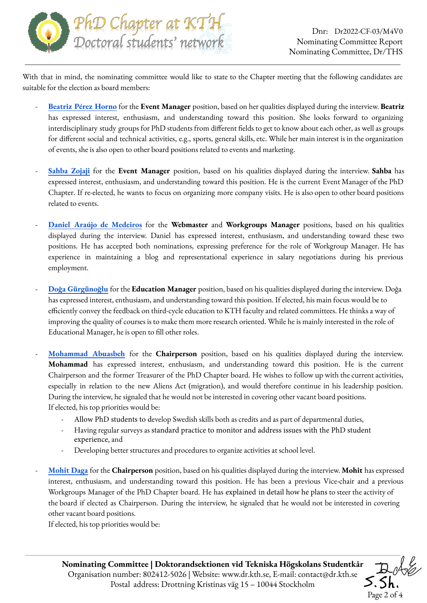

Page 2 of 4

With that in mind, the nominating committee would like to state to the Chapter meeting that the following candidates are suitable for the election as board members:

- **[Beatriz Pérez Horno](https://www.kth.se/profile/bph)** for the **Event Manager** position, based on her qualities displayed during the interview. **Beatriz**  has expressed interest, enthusiasm, and understanding toward this position. She looks forward to organizing interdisciplinary study groups for PhD students from different fields to get to know about each other, as well as groups for different social and technical activities, e.g., sports, general skills, etc. While her main interest is in the organization of events, she is also open to other board positions related to events and marketing.
- **[Sahba Zojaji](https://www.kth.se/profile/zojaji)** for the **Event Manager** position, based on his qualities displayed during the interview. **Sahba** has expressed interest, enthusiasm, and understanding toward this position. He is the current Event Manager of the PhD Chapter. If re-elected, he wants to focus on organizing more company visits. He is also open to other board positions related to events.
- **[Daniel Araújo de Medeiros](https://www.kth.se/profile/dadm)** for the **Webmaster** and **Workgroups Manager** positions, based on his qualities displayed during the interview. Daniel has expressed interest, enthusiasm, and understanding toward these two positions. He has accepted both nominations, expressing preference for the role of Workgroup Manager. He has experience in maintaining a blog and representational experience in salary negotiations during his previous employment.
- **[Doğa Gürgünoğlu](https://www.kth.se/profile/dogag)** for the **Education Manager** position, based on his qualities displayed during the interview. Doğa has expressed interest, enthusiasm, and understanding toward this position. If elected, his main focus would be to efficiently convey the feedback on third-cycle education to KTH faculty and related committees. He thinks a way of improving the quality of courses is to make them more research oriented. While he is mainly interested in the role of Educational Manager, he is open to fill other roles.
- **[Mohammad Abuasbeh](https://www.kth.se/profile/abuasbeh)** for the **Chairperson** position, based on his qualities displayed during the interview. **Mohammad** has expressed interest, enthusiasm, and understanding toward this position. He is the current Chairperson and the former Treasurer of the PhD Chapter board. He wishes to follow up with the current activities, especially in relation to the new Aliens Act (migration), and would therefore continue in his leadership position. During the interview, he signaled that he would not be interested in covering other vacant board positions. If elected, his top priorities would be:
	- Allow PhD students to develop Swedish skills both as credits and as part of departmental duties,
	- Having regular surveys as standard practice to monitor and address issues with the PhD student experience, and
	- Developing better structures and procedures to organize activities at school level.
- **[Mohit Daga](https://www.kth.se/profile/mdaga)** for the **Chairperson** position, based on his qualities displayed during the interview. **Mohit** has expressed interest, enthusiasm, and understanding toward this position. He has been a previous Vice-chair and a previous Workgroups Manager of the PhD Chapter board. He has explained in detail how he plans to steer the activity of the board if elected as Chairperson. During the interview, he signaled that he would not be interested in covering other vacant board positions.

If elected, his top priorities would be: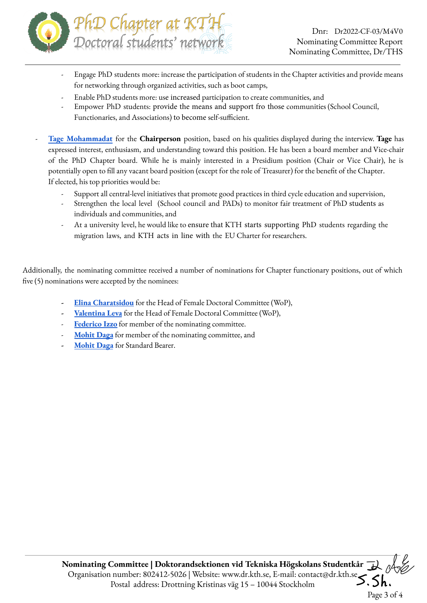

- Engage PhD students more: increase the participation of students in the Chapter activities and provide means for networking through organized activities, such as boot camps,
- Enable PhD students more: use increased participation to create communities, and
- Empower PhD students: provide the means and support fro those communities (School Council, Functionaries, and Associations) to become self-sufficient.
- **[Tage Mohammadat](https://people.kth.se/~tagem/)** for the **Chairperson** position, based on his qualities displayed during the interview. **Tage** has expressed interest, enthusiasm, and understanding toward this position. He has been a board member and Vice-chair of the PhD Chapter board. While he is mainly interested in a Presidium position (Chair or Vice Chair), he is potentially open to fill any vacant board position (except for the role of Treasurer) for the benefit of the Chapter. If elected, his top priorities would be:
	- Support all central-level initiatives that promote good practices in third cycle education and supervision,
	- Strengthen the local level (School council and PADs) to monitor fair treatment of PhD students as individuals and communities, and
	- At a university level, he would like to ensure that KTH starts supporting PhD students regarding the migration laws, and KTH acts in line with the EU Charter for researchers.

Additionally, the nominating committee received a number of nominations for Chapter functionary positions, out of which five (5) nominations were accepted by the nominees:

- **- [Elina Charatsidou](https://www.kth.se/profile/elinach?l=en)** for the Head of Female Doctoral Committee (WoP),
- **- [Valentina Leva](https://www.kth.se/profile/cvleva)** for the Head of Female Doctoral Committee (WoP),
- [Federico Izzo](https://www.kth.se/profile/izzo) for member of the nominating committee.
- [Mohit Daga](https://www.kth.se/profile/mdaga) for member of the nominating committee, and
- **- [Mohit Daga](https://www.kth.se/profile/mdaga)** for Standard Bearer.